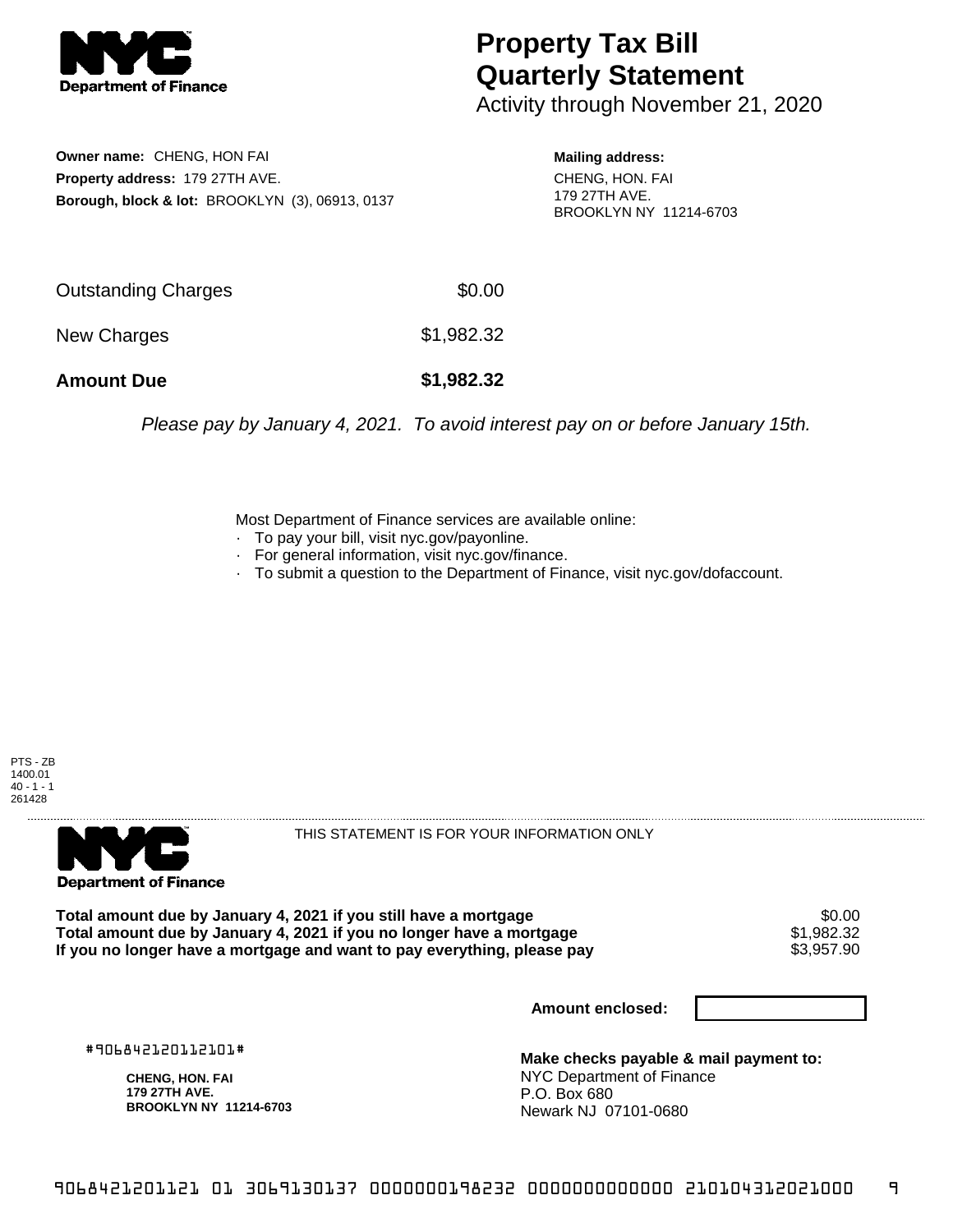

## **Property Tax Bill Quarterly Statement**

Activity through November 21, 2020

**Owner name:** CHENG, HON FAI **Property address:** 179 27TH AVE. **Borough, block & lot:** BROOKLYN (3), 06913, 0137

**Mailing address:** CHENG, HON. FAI 179 27TH AVE. BROOKLYN NY 11214-6703

| <b>Amount Due</b>   | \$1,982.32 |
|---------------------|------------|
| New Charges         | \$1,982.32 |
| Outstanding Charges | \$0.00     |

Please pay by January 4, 2021. To avoid interest pay on or before January 15th.

Most Department of Finance services are available online:

- · To pay your bill, visit nyc.gov/payonline.
- For general information, visit nyc.gov/finance.
- · To submit a question to the Department of Finance, visit nyc.gov/dofaccount.

PTS - ZB 1400.01  $40 - 1 - 1$ 261428



THIS STATEMENT IS FOR YOUR INFORMATION ONLY

Total amount due by January 4, 2021 if you still have a mortgage \$0.00<br>Total amount due by January 4, 2021 if you no longer have a mortgage \$1.982.32 **Total amount due by January 4, 2021 if you no longer have a mortgage**  $$1,982.32$$ **<br>If you no longer have a mortgage and want to pay everything, please pay**  $$3,957.90$ If you no longer have a mortgage and want to pay everything, please pay

**Amount enclosed:**

#906842120112101#

**CHENG, HON. FAI 179 27TH AVE. BROOKLYN NY 11214-6703**

**Make checks payable & mail payment to:** NYC Department of Finance P.O. Box 680 Newark NJ 07101-0680